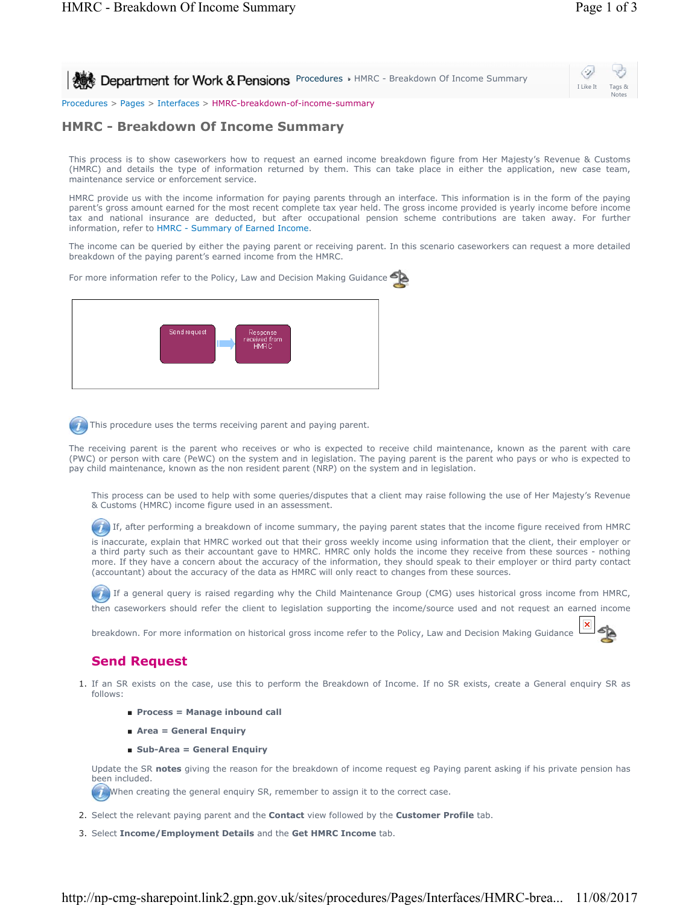I Like It Tags & Notes

⇔

**Procedures HMRC - Breakdown Of Income Summary** 

Procedures > Pages > Interfaces > HMRC-breakdown-of-income-summary

# **HMRC - Breakdown Of Income Summary**

This process is to show caseworkers how to request an earned income breakdown figure from Her Majesty's Revenue & Customs (HMRC) and details the type of information returned by them. This can take place in either the application, new case team, maintenance service or enforcement service.

HMRC provide us with the income information for paying parents through an interface. This information is in the form of the paying parent's gross amount earned for the most recent complete tax year held. The gross income provided is yearly income before income tax and national insurance are deducted, but after occupational pension scheme contributions are taken away. For further information, refer to HMRC - Summary of Earned Income.

The income can be queried by either the paying parent or receiving parent. In this scenario caseworkers can request a more detailed breakdown of the paying parent's earned income from the HMRC.

For more information refer to the Policy, Law and Decision Making Guidance



This procedure uses the terms receiving parent and paying parent.

The receiving parent is the parent who receives or who is expected to receive child maintenance, known as the parent with care (PWC) or person with care (PeWC) on the system and in legislation. The paying parent is the parent who pays or who is expected to pay child maintenance, known as the non resident parent (NRP) on the system and in legislation.

This process can be used to help with some queries/disputes that a client may raise following the use of Her Majesty's Revenue & Customs (HMRC) income figure used in an assessment.

 $(7)$  If, after performing a breakdown of income summary, the paying parent states that the income figure received from HMRC

is inaccurate, explain that HMRC worked out that their gross weekly income using information that the client, their employer or a third party such as their accountant gave to HMRC. HMRC only holds the income they receive from these sources - nothing more. If they have a concern about the accuracy of the information, they should speak to their employer or third party contact (accountant) about the accuracy of the data as HMRC will only react to changes from these sources.

If a general query is raised regarding why the Child Maintenance Group (CMG) uses historical gross income from HMRC, then caseworkers should refer the client to legislation supporting the income/source used and not request an earned income

breakdown. For more information on historical gross income refer to the Policy, Law and Decision Making Guidance

# **Send Request**

- 1. If an SR exists on the case, use this to perform the Breakdown of Income. If no SR exists, create a General enquiry SR as follows:
	- **Process = Manage inbound call**
	- **Area = General Enquiry**
	- Sub-Area = General Enquiry

Update the SR **notes** giving the reason for the breakdown of income request eg Paying parent asking if his private pension has been included.

When creating the general enquiry SR, remember to assign it to the correct case.

- 2. Select the relevant paying parent and the **Contact** view followed by the **Customer Profile** tab.
- 3. Select **Income/Employment Details** and the **Get HMRC Income** tab.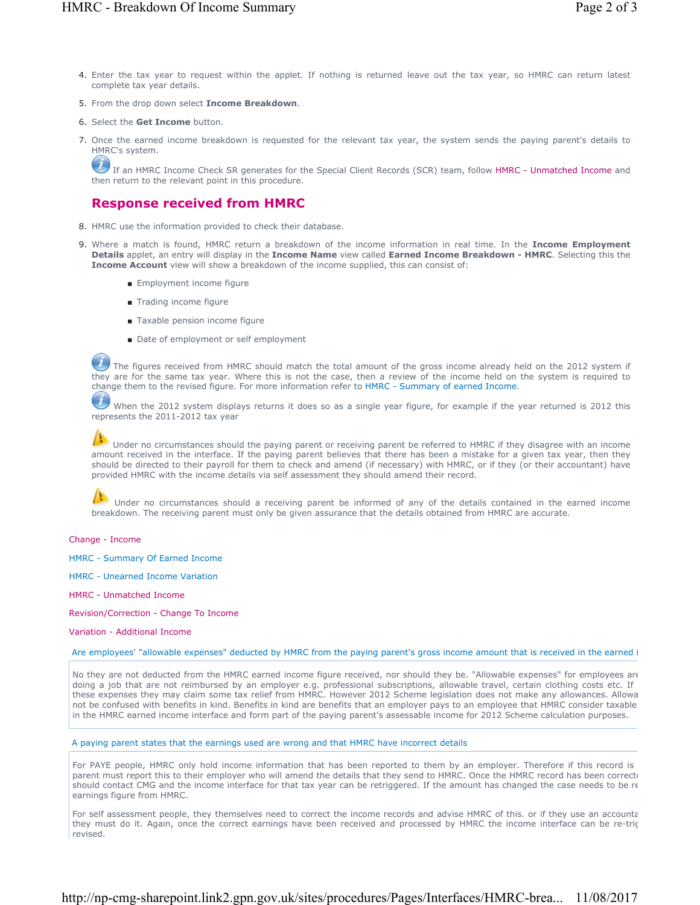- 4. Enter the tax year to request within the applet. If nothing is returned leave out the tax year, so HMRC can return latest complete tax year details.
- 5. From the drop down select **Income Breakdown**.
- 6. Select the **Get Income** button.
- 7. Once the earned income breakdown is requested for the relevant tax year, the system sends the paying parent's details to HMRC's system.

If an HMRC Income Check SR generates for the Special Client Records (SCR) team, follow HMRC - Unmatched Income and then return to the relevant point in this procedure.

# **Response received from HMRC**

- 8. HMRC use the information provided to check their database.
- 9. Where a match is found, HMRC return a breakdown of the income information in real time. In the Income Employment **Details** applet, an entry will display in the **Income Name** view called **Earned Income Breakdown - HMRC**. Selecting this the **Income Account** view will show a breakdown of the income supplied, this can consist of:
	- Employment income figure
	- Trading income figure
	- Taxable pension income figure
	- Date of employment or self employment

The figures received from HMRC should match the total amount of the gross income already held on the 2012 system if they are for the same tax year. Where this is not the case, then a review of the income held on the system is required to change them to the revised figure. For more information refer to HMRC - Summary of earned Income.

When the 2012 system displays returns it does so as a single year figure, for example if the year returned is 2012 this represents the 2011-2012 tax year

Under no circumstances should the paying parent or receiving parent be referred to HMRC if they disagree with an income amount received in the interface. If the paying parent believes that there has been a mistake for a given tax year, then they should be directed to their payroll for them to check and amend (if necessary) with HMRC, or if they (or their accountant) have provided HMRC with the income details via self assessment they should amend their record.

Under no circumstances should a receiving parent be informed of any of the details contained in the earned income breakdown. The receiving parent must only be given assurance that the details obtained from HMRC are accurate.

Change - Income

HMRC - Summary Of Earned Income

HMRC - Unearned Income Variation

HMRC - Unmatched Income

Revision/Correction - Change To Income

Variation - Additional Income

Are employees' "allowable expenses" deducted by HMRC from the paying parent's gross income amount that is received in the earned i

No they are not deducted from the HMRC earned income figure received, nor should they be. "Allowable expenses" for employees are doing a job that are not reimbursed by an employer e.g. professional subscriptions, allowable travel, certain clothing costs etc. If these expenses they may claim some tax relief from HMRC. However 2012 Scheme legislation does not make any allowances. Allowa not be confused with benefits in kind. Benefits in kind are benefits that an employer pays to an employee that HMRC consider taxable in the HMRC earned income interface and form part of the paying parent's assessable income for 2012 Scheme calculation purposes.

A paying parent states that the earnings used are wrong and that HMRC have incorrect details

For PAYE people, HMRC only hold income information that has been reported to them by an employer. Therefore if this record is parent must report this to their employer who will amend the details that they send to HMRC. Once the HMRC record has been correcte should contact CMG and the income interface for that tax year can be retriggered. If the amount has changed the case needs to be re earnings figure from HMRC.

For self assessment people, they themselves need to correct the income records and advise HMRC of this. or if they use an accounta they must do it. Again, once the correct earnings have been received and processed by HMRC the income interface can be re-trig revised.